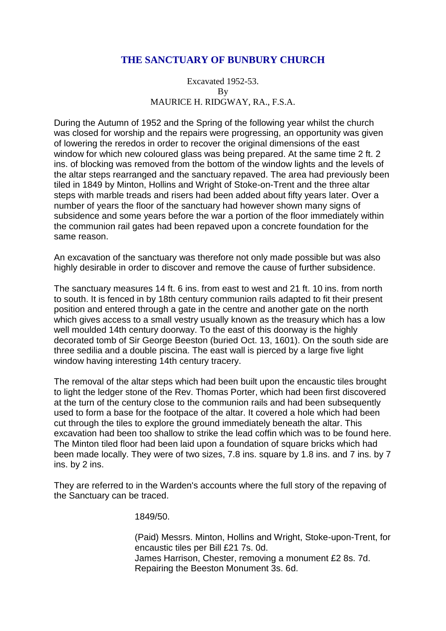# **THE SANCTUARY OF BUNBURY CHURCH**

Excavated 1952-53. By MAURICE H. RIDGWAY, RA., F.S.A.

During the Autumn of 1952 and the Spring of the following year whilst the church was closed for worship and the repairs were progressing, an opportunity was given of lowering the reredos in order to recover the original dimensions of the east window for which new coloured glass was being prepared. At the same time 2 ft. 2 ins. of blocking was removed from the bottom of the window lights and the levels of the altar steps rearranged and the sanctuary repaved. The area had previously been tiled in 1849 by Minton, Hollins and Wright of Stoke-on-Trent and the three altar steps with marble treads and risers had been added about fifty years later. Over a number of years the floor of the sanctuary had however shown many signs of subsidence and some years before the war a portion of the floor immediately within the communion rail gates had been repaved upon a concrete foundation for the same reason.

An excavation of the sanctuary was therefore not only made possible but was also highly desirable in order to discover and remove the cause of further subsidence.

The sanctuary measures 14 ft. 6 ins. from east to west and 21 ft. 10 ins. from north to south. It is fenced in by 18th century communion rails adapted to fit their present position and entered through a gate in the centre and another gate on the north which gives access to a small vestry usually known as the treasury which has a low well moulded 14th century doorway. To the east of this doorway is the highly decorated tomb of Sir George Beeston (buried Oct. 13, 1601). On the south side are three sedilia and a double piscina. The east wall is pierced by a large five light window having interesting 14th century tracery.

The removal of the altar steps which had been built upon the encaustic tiles brought to light the ledger stone of the Rev. Thomas Porter, which had been first discovered at the turn of the century close to the communion rails and had been subsequently used to form a base for the footpace of the altar. It covered a hole which had been cut through the tiles to explore the ground immediately beneath the altar. This excavation had been too shallow to strike the lead coffin which was to be found here. The Minton tiled floor had been laid upon a foundation of square bricks which had been made locally. They were of two sizes, 7.8 ins. square by 1.8 ins. and 7 ins. by 7 ins. by 2 ins.

They are referred to in the Warden's accounts where the full story of the repaving of the Sanctuary can be traced.

1849/50.

(Paid) Messrs. Minton, Hollins and Wright, Stoke-upon-Trent, for encaustic tiles per Bill £21 7s. 0d. James Harrison, Chester, removing a monument £2 8s. 7d. Repairing the Beeston Monument 3s. 6d.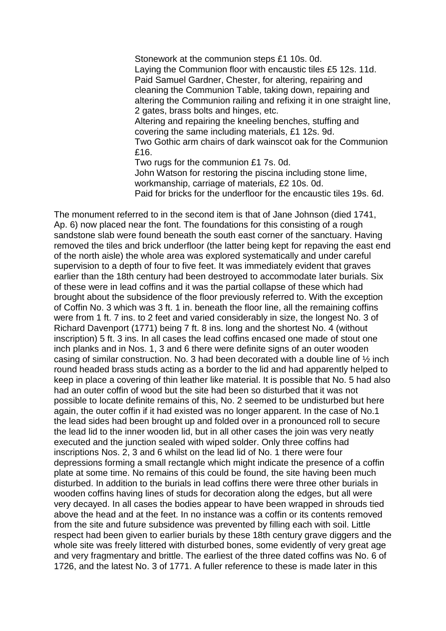Stonework at the communion steps £1 10s. 0d. Laying the Communion floor with encaustic tiles £5 12s. 11d. Paid Samuel Gardner, Chester, for altering, repairing and cleaning the Communion Table, taking down, repairing and altering the Communion railing and refixing it in one straight line, 2 gates, brass bolts and hinges, etc. Altering and repairing the kneeling benches, stuffing and covering the same including materials, £1 12s. 9d. Two Gothic arm chairs of dark wainscot oak for the Communion £16. Two rugs for the communion £1 7s. 0d. John Watson for restoring the piscina including stone lime, workmanship, carriage of materials, £2 10s. 0d.

Paid for bricks for the underfloor for the encaustic tiles 19s. 6d.

The monument referred to in the second item is that of Jane Johnson (died 1741, Ap. 6) now placed near the font. The foundations for this consisting of a rough sandstone slab were found beneath the south east corner of the sanctuary. Having removed the tiles and brick underfloor (the latter being kept for repaving the east end of the north aisle) the whole area was explored systematically and under careful supervision to a depth of four to five feet. It was immediately evident that graves earlier than the 18th century had been destroyed to accommodate later burials. Six of these were in lead coffins and it was the partial collapse of these which had brought about the subsidence of the floor previously referred to. With the exception of Coffin No. 3 which was 3 ft. 1 in. beneath the floor line, all the remaining coffins were from 1 ft. 7 ins. to 2 feet and varied considerably in size, the longest No. 3 of Richard Davenport (1771) being 7 ft. 8 ins. long and the shortest No. 4 (without inscription) 5 ft. 3 ins. In all cases the lead coffins encased one made of stout one inch planks and in Nos. 1, 3 and 6 there were definite signs of an outer wooden casing of similar construction. No. 3 had been decorated with a double line of ½ inch round headed brass studs acting as a border to the lid and had apparently helped to keep in place a covering of thin leather like material. It is possible that No. 5 had also had an outer coffin of wood but the site had been so disturbed that it was not possible to locate definite remains of this, No. 2 seemed to be undisturbed but here again, the outer coffin if it had existed was no longer apparent. In the case of No.1 the lead sides had been brought up and folded over in a pronounced roll to secure the lead lid to the inner wooden lid, but in all other cases the join was very neatly executed and the junction sealed with wiped solder. Only three coffins had inscriptions Nos. 2, 3 and 6 whilst on the lead lid of No. 1 there were four depressions forming a small rectangle which might indicate the presence of a coffin plate at some time. No remains of this could be found, the site having been much disturbed. In addition to the burials in lead coffins there were three other burials in wooden coffins having lines of studs for decoration along the edges, but all were very decayed. In all cases the bodies appear to have been wrapped in shrouds tied above the head and at the feet. In no instance was a coffin or its contents removed from the site and future subsidence was prevented by filling each with soil. Little respect had been given to earlier burials by these 18th century grave diggers and the whole site was freely littered with disturbed bones, some evidently of very great age and very fragmentary and brittle. The earliest of the three dated coffins was No. 6 of 1726, and the latest No. 3 of 1771. A fuller reference to these is made later in this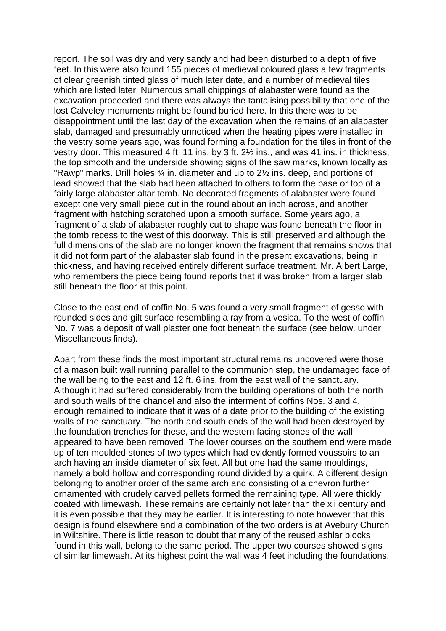report. The soil was dry and very sandy and had been disturbed to a depth of five feet. In this were also found 155 pieces of medieval coloured glass a few fragments of clear greenish tinted glass of much later date, and a number of medieval tiles which are listed later. Numerous small chippings of alabaster were found as the excavation proceeded and there was always the tantalising possibility that one of the lost Calveley monuments might be found buried here. In this there was to be disappointment until the last day of the excavation when the remains of an alabaster slab, damaged and presumably unnoticed when the heating pipes were installed in the vestry some years ago, was found forming a foundation for the tiles in front of the vestry door. This measured 4 ft. 11 ins. by 3 ft. 2½ ins,, and was 41 ins. in thickness, the top smooth and the underside showing signs of the saw marks, known locally as "Rawp" marks. Drill holes ¾ in. diameter and up to 2½ ins. deep, and portions of lead showed that the slab had been attached to others to form the base or top of a fairly large alabaster altar tomb. No decorated fragments of alabaster were found except one very small piece cut in the round about an inch across, and another fragment with hatching scratched upon a smooth surface. Some years ago, a fragment of a slab of alabaster roughly cut to shape was found beneath the floor in the tomb recess to the west of this doorway. This is still preserved and although the full dimensions of the slab are no longer known the fragment that remains shows that it did not form part of the alabaster slab found in the present excavations, being in thickness, and having received entirely different surface treatment. Mr. Albert Large, who remembers the piece being found reports that it was broken from a larger slab still beneath the floor at this point.

Close to the east end of coffin No. 5 was found a very small fragment of gesso with rounded sides and gilt surface resembling a ray from a vesica. To the west of coffin No. 7 was a deposit of wall plaster one foot beneath the surface (see below, under Miscellaneous finds).

Apart from these finds the most important structural remains uncovered were those of a mason built wall running parallel to the communion step, the undamaged face of the wall being to the east and 12 ft. 6 ins. from the east wall of the sanctuary. Although it had suffered considerably from the building operations of both the north and south walls of the chancel and also the interment of coffins Nos. 3 and 4, enough remained to indicate that it was of a date prior to the building of the existing walls of the sanctuary. The north and south ends of the wall had been destroyed by the foundation trenches for these, and the western facing stones of the wall appeared to have been removed. The lower courses on the southern end were made up of ten moulded stones of two types which had evidently formed voussoirs to an arch having an inside diameter of six feet. All but one had the same mouldings, namely a bold hollow and corresponding round divided by a quirk. A different design belonging to another order of the same arch and consisting of a chevron further ornamented with crudely carved pellets formed the remaining type. All were thickly coated with limewash. These remains are certainly not later than the xii century and it is even possible that they may be earlier. It is interesting to note however that this design is found elsewhere and a combination of the two orders is at Avebury Church in Wiltshire. There is little reason to doubt that many of the reused ashlar blocks found in this wall, belong to the same period. The upper two courses showed signs of similar limewash. At its highest point the wall was 4 feet including the foundations.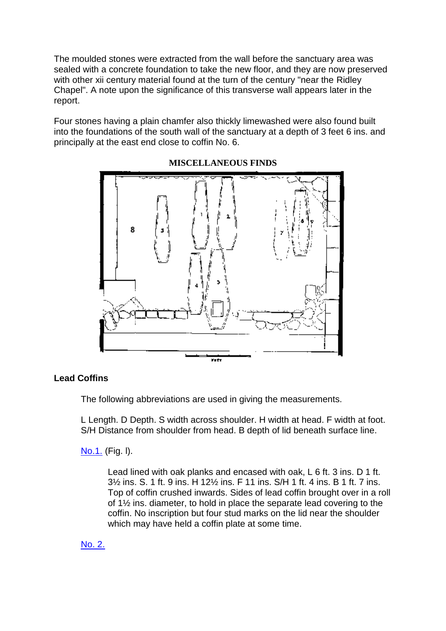The moulded stones were extracted from the wall before the sanctuary area was sealed with a concrete foundation to take the new floor, and they are now preserved with other xij century material found at the turn of the century "near the Ridley Chapel". A note upon the significance of this transverse wall appears later in the report.

Four stones having a plain chamfer also thickly limewashed were also found built into the foundations of the south wall of the sanctuary at a depth of 3 feet 6 ins. and principally at the east end close to coffin No. 6.



**MISCELLANEOUS FINDS**

# **Lead Coffins**

The following abbreviations are used in giving the measurements.

L Length. D Depth. S width across shoulder. H width at head. F width at foot. S/H Distance from shoulder from head. B depth of lid beneath surface line.

[No.1.](file:///C:/Users/matt/OneDrive/Documents/gemma/st%20boniface/Bunbury/papers/Sanctuary.html%23anchor546154) (Fig. l).

Lead lined with oak planks and encased with oak, L 6 ft. 3 ins. D 1 ft. 3½ ins. S. 1 ft. 9 ins. H 12½ ins. F 11 ins. S/H 1 ft. 4 ins. B 1 ft. 7 ins. Top of coffin crushed inwards. Sides of lead coffin brought over in a roll of 1½ ins. diameter, to hold in place the separate lead covering to the coffin. No inscription but four stud marks on the lid near the shoulder which may have held a coffin plate at some time.

[No. 2.](file:///C:/Users/matt/OneDrive/Documents/gemma/st%20boniface/Bunbury/papers/Sanctuary.html%23anchor546154)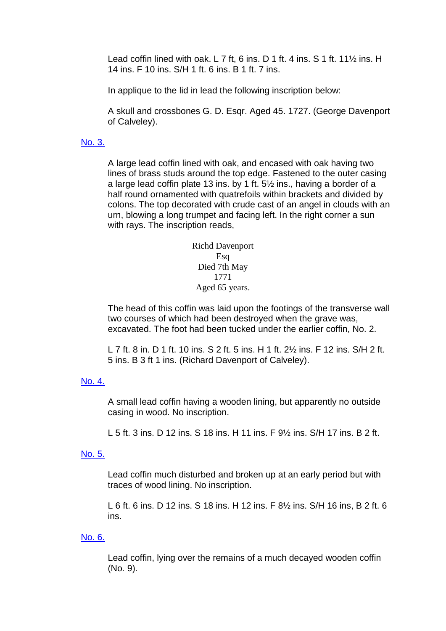Lead coffin lined with oak. L 7 ft, 6 ins. D 1 ft. 4 ins. S 1 ft. 11½ ins. H 14 ins. F 10 ins. S/H 1 ft. 6 ins. B 1 ft. 7 ins.

In applique to the lid in lead the following inscription below:

A skull and crossbones G. D. Esgr. Aged 45, 1727. (George Davenport of Calveley).

#### [No. 3.](file:///C:/Users/matt/OneDrive/Documents/gemma/st%20boniface/Bunbury/papers/Sanctuary.html%23anchor546154)

A large lead coffin lined with oak, and encased with oak having two lines of brass studs around the top edge. Fastened to the outer casing a large lead coffin plate 13 ins. by 1 ft. 5½ ins., having a border of a half round ornamented with quatrefoils within brackets and divided by colons. The top decorated with crude cast of an angel in clouds with an urn, blowing a long trumpet and facing left. In the right corner a sun with rays. The inscription reads,

> Richd Davenport Esq Died 7th May 1771 Aged 65 years.

The head of this coffin was laid upon the footings of the transverse wall two courses of which had been destroyed when the grave was, excavated. The foot had been tucked under the earlier coffin, No. 2.

L 7 ft. 8 in. D 1 ft. 10 ins. S 2 ft. 5 ins. H 1 ft. 2½ ins. F 12 ins. S/H 2 ft. 5 ins. B 3 ft 1 ins. (Richard Davenport of Calveley).

#### [No. 4.](file:///C:/Users/matt/OneDrive/Documents/gemma/st%20boniface/Bunbury/papers/Sanctuary.html%23anchor546154)

A small lead coffin having a wooden lining, but apparently no outside casing in wood. No inscription.

L 5 ft. 3 ins. D 12 ins. S 18 ins. H 11 ins. F 9½ ins. S/H 17 ins. B 2 ft.

#### [No. 5.](file:///C:/Users/matt/OneDrive/Documents/gemma/st%20boniface/Bunbury/papers/Sanctuary.html%23anchor546154)

Lead coffin much disturbed and broken up at an early period but with traces of wood lining. No inscription.

L 6 ft. 6 ins. D 12 ins. S 18 ins. H 12 ins. F 8½ ins. S/H 16 ins, B 2 ft. 6 ins.

## [No. 6.](file:///C:/Users/matt/OneDrive/Documents/gemma/st%20boniface/Bunbury/papers/Sanctuary.html%23anchor546154)

Lead coffin, lying over the remains of a much decayed wooden coffin (No. 9).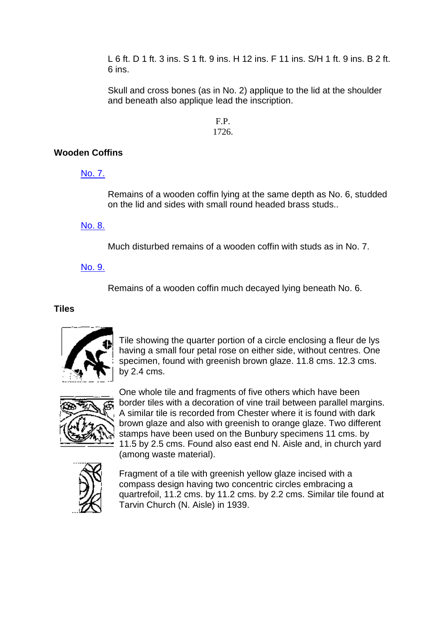L 6 ft. D 1 ft. 3 ins. S 1 ft. 9 ins. H 12 ins. F 11 ins. S/H 1 ft. 9 ins. B 2 ft. 6 ins.

Skull and cross bones (as in No. 2) applique to the lid at the shoulder and beneath also applique lead the inscription.

#### F.P. 1726.

# **Wooden Coffins**

[No. 7.](file:///C:/Users/matt/OneDrive/Documents/gemma/st%20boniface/Bunbury/papers/Sanctuary.html%23anchor546154)

Remains of a wooden coffin lying at the same depth as No. 6, studded on the lid and sides with small round headed brass studs..

[No. 8.](file:///C:/Users/matt/OneDrive/Documents/gemma/st%20boniface/Bunbury/papers/Sanctuary.html%23anchor546154)

Much disturbed remains of a wooden coffin with studs as in No. 7.

[No. 9.](file:///C:/Users/matt/OneDrive/Documents/gemma/st%20boniface/Bunbury/papers/Sanctuary.html%23anchor546154)

Remains of a wooden coffin much decayed lying beneath No. 6.

**Tiles**



Tile showing the quarter portion of a circle enclosing a fleur de lys having a small four petal rose on either side, without centres. One specimen, found with greenish brown glaze. 11.8 cms. 12.3 cms. by 2.4 cms.



One whole tile and fragments of five others which have been border tiles with a decoration of vine trail between parallel margins. A similar tile is recorded from Chester where it is found with dark brown glaze and also with greenish to orange glaze. Two different stamps have been used on the Bunbury specimens 11 cms. by 11.5 by 2.5 cms. Found also east end N. Aisle and, in church yard (among waste material).



Fragment of a tile with greenish yellow glaze incised with a compass design having two concentric circles embracing a quartrefoil, 11.2 cms. by 11.2 cms. by 2.2 cms. Similar tile found at Tarvin Church (N. Aisle) in 1939.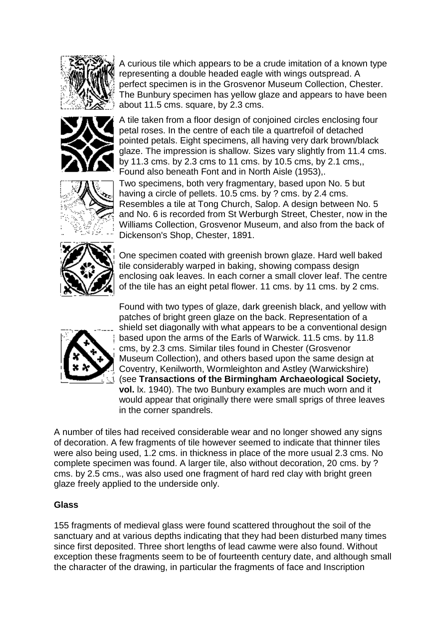

A curious tile which appears to be a crude imitation of a known type representing a double headed eagle with wings outspread. A perfect specimen is in the Grosvenor Museum Collection, Chester. The Bunbury specimen has yellow glaze and appears to have been about 11.5 cms. square, by 2.3 cms.



A tile taken from a floor design of conjoined circles enclosing four petal roses. In the centre of each tile a quartrefoil of detached pointed petals. Eight specimens, all having very dark brown/black glaze. The impression is shallow. Sizes vary slightly from 11.4 cms. by 11.3 cms. by 2.3 cms to 11 cms. by 10.5 cms, by 2.1 cms,, Found also beneath Font and in North Aisle (1953),.



Two specimens, both very fragmentary, based upon No. 5 but having a circle of pellets. 10.5 cms. by ? cms. by 2.4 cms. Resembles a tile at Tong Church, Salop. A design between No. 5 and No. 6 is recorded from St Werburgh Street, Chester, now in the Williams Collection, Grosvenor Museum, and also from the back of Dickenson's Shop, Chester, 1891.



One specimen coated with greenish brown glaze. Hard well baked tile considerably warped in baking, showing compass design enclosing oak leaves. In each corner a small clover leaf. The centre of the tile has an eight petal flower. 11 cms. by 11 cms. by 2 cms.



Found with two types of glaze, dark greenish black, and yellow with patches of bright green glaze on the back. Representation of a shield set diagonally with what appears to be a conventional design based upon the arms of the Earls of Warwick. 11.5 cms. by 11.8 cms, by 2.3 cms. Similar tiles found in Chester (Grosvenor Museum Collection), and others based upon the same design at Coventry, Kenilworth, Wormleighton and Astley (Warwickshire) (see **Transactions of the Birmingham Archaeological Society, vol.** lx. 1940). The two Bunbury examples are much worn and it would appear that originally there were small sprigs of three leaves in the corner spandrels.

A number of tiles had received considerable wear and no longer showed any signs of decoration. A few fragments of tile however seemed to indicate that thinner tiles were also being used, 1.2 cms. in thickness in place of the more usual 2.3 cms. No complete specimen was found. A larger tile, also without decoration, 20 cms. by ? cms. by 2.5 cms., was also used one fragment of hard red clay with bright green glaze freely applied to the underside only.

## **Glass**

155 fragments of medieval glass were found scattered throughout the soil of the sanctuary and at various depths indicating that they had been disturbed many times since first deposited. Three short lengths of lead cawme were also found. Without exception these fragments seem to be of fourteenth century date, and although small the character of the drawing, in particular the fragments of face and Inscription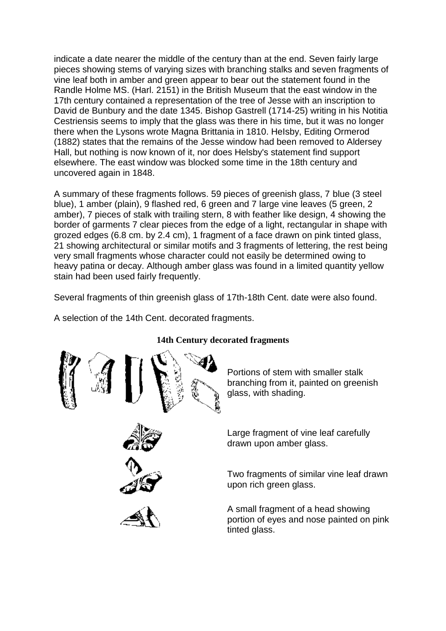indicate a date nearer the middle of the century than at the end. Seven fairly large pieces showing stems of varying sizes with branching stalks and seven fragments of vine leaf both in amber and green appear to bear out the statement found in the Randle Holme MS. (Harl. 2151) in the British Museum that the east window in the 17th century contained a representation of the tree of Jesse with an inscription to David de Bunbury and the date 1345. Bishop Gastrell (1714-25) writing in his Notitia Cestriensis seems to imply that the glass was there in his time, but it was no longer there when the Lysons wrote Magna Brittania in 1810. HeIsby, Editing Ormerod (1882) states that the remains of the Jesse window had been removed to Aldersey Hall, but nothing is now known of it, nor does Helsby's statement find support elsewhere. The east window was blocked some time in the 18th century and uncovered again in 1848.

A summary of these fragments follows. 59 pieces of greenish glass, 7 blue (3 steel blue), 1 amber (plain), 9 flashed red, 6 green and 7 large vine leaves (5 green, 2 amber), 7 pieces of stalk with trailing stern, 8 with feather like design, 4 showing the border of garments 7 clear pieces from the edge of a light, rectangular in shape with grozed edges (6.8 cm. by 2.4 cm), 1 fragment of a face drawn on pink tinted glass, 21 showing architectural or similar motifs and 3 fragments of lettering, the rest being very small fragments whose character could not easily be determined owing to heavy patina or decay. Although amber glass was found in a limited quantity yellow stain had been used fairly frequently.

Several fragments of thin greenish glass of 17th-18th Cent. date were also found.

A selection of the 14th Cent. decorated fragments.



# **14th Century decorated fragments**

Portions of stem with smaller stalk branching from it, painted on greenish glass, with shading.

Large fragment of vine leaf carefully drawn upon amber glass.

Two fragments of similar vine leaf drawn upon rich green glass.

A small fragment of a head showing portion of eyes and nose painted on pink tinted glass.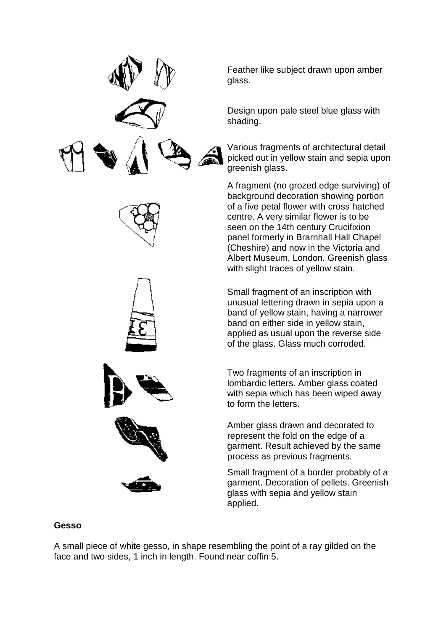











Feather like subject drawn upon amber glass.

Design upon pale steel blue glass with shading.

Various fragments of architectural detail picked out in yellow stain and sepia upon greenish glass.

A fragment (no grozed edge surviving) of background decoration showing portion of a five petal flower with cross hatched centre. A very similar flower is to be seen on the 14th century Crucifixion panel formerly in Brarnhall Hall Chapel (Cheshire) and now in the Victoria and Albert Museum, London. Greenish glass with slight traces of yellow stain.

Small fragment of an inscription with unusual lettering drawn in sepia upon a band of yellow stain, having a narrower band on either side in yellow stain, applied as usual upon the reverse side of the glass. Glass much corroded.

Two fragments of an inscription in lombardic letters. Amber glass coated with sepia which has been wiped away to form the letters.

Amber glass drawn and decorated to represent the fold on the edge of a garment. Result achieved by the same process as previous fragments.

Small fragment of a border probably of a garment. Decoration of pellets. Greenish glass with sepia and yellow stain applied.

## **Gesso**

A small piece of white gesso, in shape resembling the point of a ray gilded on the face and two sides, 1 inch in length. Found near coffin 5.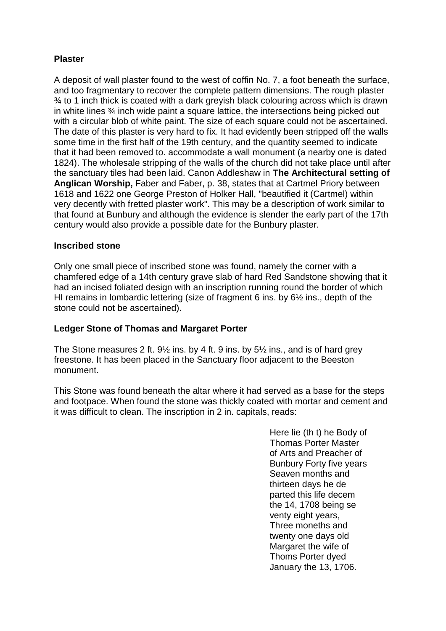# **Plaster**

A deposit of wall plaster found to the west of coffin No. 7, a foot beneath the surface, and too fragmentary to recover the complete pattern dimensions. The rough plaster ¾ to 1 inch thick is coated with a dark greyish black colouring across which is drawn in white lines ¾ inch wide paint a square lattice, the intersections being picked out with a circular blob of white paint. The size of each square could not be ascertained. The date of this plaster is very hard to fix. It had evidently been stripped off the walls some time in the first half of the 19th century, and the quantity seemed to indicate that it had been removed to. accommodate a wall monument (a nearby one is dated 1824). The wholesale stripping of the walls of the church did not take place until after the sanctuary tiles had been laid. Canon Addleshaw in **The Architectural setting of Anglican Worship,** Faber and Faber, p. 38, states that at Cartmel Priory between 1618 and 1622 one George Preston of Holker Hall, "beautified it (Cartmel) within very decently with fretted plaster work". This may be a description of work similar to that found at Bunbury and although the evidence is slender the early part of the 17th century would also provide a possible date for the Bunbury plaster.

## **Inscribed stone**

Only one small piece of inscribed stone was found, namely the corner with a chamfered edge of a 14th century grave slab of hard Red Sandstone showing that it had an incised foliated design with an inscription running round the border of which HI remains in lombardic lettering (size of fragment 6 ins. by 6½ ins., depth of the stone could not be ascertained).

# **Ledger Stone of Thomas and Margaret Porter**

The Stone measures 2 ft. 9½ ins. by 4 ft. 9 ins. by 5½ ins., and is of hard grey freestone. It has been placed in the Sanctuary floor adjacent to the Beeston monument.

This Stone was found beneath the altar where it had served as a base for the steps and footpace. When found the stone was thickly coated with mortar and cement and it was difficult to clean. The inscription in 2 in. capitals, reads:

> Here lie (th t) he Body of Thomas Porter Master of Arts and Preacher of Bunbury Forty five years Seaven months and thirteen days he de parted this life decem the 14, 1708 being se venty eight years, Three moneths and twenty one days old Margaret the wife of Thoms Porter dyed January the 13, 1706.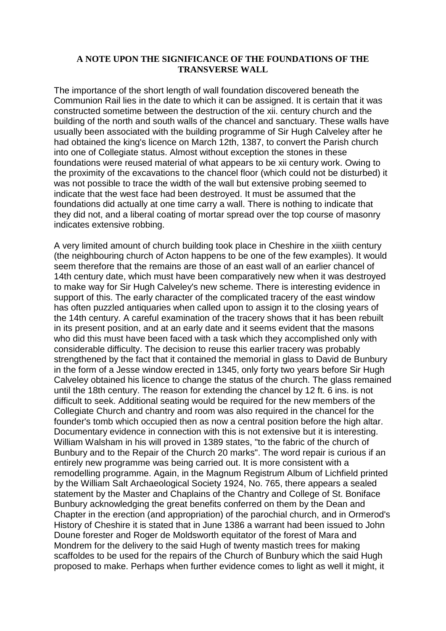#### **A NOTE UPON THE SIGNIFICANCE OF THE FOUNDATIONS OF THE TRANSVERSE WALL**

The importance of the short length of wall foundation discovered beneath the Communion Rail lies in the date to which it can be assigned. It is certain that it was constructed sometime between the destruction of the xii. century church and the building of the north and south walls of the chancel and sanctuary. These walls have usually been associated with the building programme of Sir Hugh Calveley after he had obtained the king's licence on March 12th, 1387, to convert the Parish church into one of Collegiate status. Almost without exception the stones in these foundations were reused material of what appears to be xii century work. Owing to the proximity of the excavations to the chancel floor (which could not be disturbed) it was not possible to trace the width of the wall but extensive probing seemed to indicate that the west face had been destroyed. It must be assumed that the foundations did actually at one time carry a wall. There is nothing to indicate that they did not, and a liberal coating of mortar spread over the top course of masonry indicates extensive robbing.

A very limited amount of church building took place in Cheshire in the xiiith century (the neighbouring church of Acton happens to be one of the few examples). It would seem therefore that the remains are those of an east wall of an earlier chancel of 14th century date, which must have been comparatively new when it was destroyed to make way for Sir Hugh Calveley's new scheme. There is interesting evidence in support of this. The early character of the complicated tracery of the east window has often puzzled antiquaries when called upon to assign it to the closing years of the 14th century. A careful examination of the tracery shows that it has been rebuilt in its present position, and at an early date and it seems evident that the masons who did this must have been faced with a task which they accomplished only with considerable difficulty. The decision to reuse this earlier tracery was probably strengthened by the fact that it contained the memorial in glass to David de Bunbury in the form of a Jesse window erected in 1345, only forty two years before Sir Hugh Calveley obtained his licence to change the status of the church. The glass remained until the 18th century. The reason for extending the chancel by 12 ft. 6 ins. is not difficult to seek. Additional seating would be required for the new members of the Collegiate Church and chantry and room was also required in the chancel for the founder's tomb which occupied then as now a central position before the high altar. Documentary evidence in connection with this is not extensive but it is interesting. William Walsham in his will proved in 1389 states, "to the fabric of the church of Bunbury and to the Repair of the Church 20 marks". The word repair is curious if an entirely new programme was being carried out. It is more consistent with a remodelling programme. Again, in the Magnum Registrum Album of Lichfield printed by the William Salt Archaeological Society 1924, No. 765, there appears a sealed statement by the Master and Chaplains of the Chantry and College of St. Boniface Bunbury acknowledging the great benefits conferred on them by the Dean and Chapter in the erection (and appropriation) of the parochial church, and in Ormerod's History of Cheshire it is stated that in June 1386 a warrant had been issued to John Doune forester and Roger de Moldsworth equitator of the forest of Mara and Mondrem for the delivery to the said Hugh of twenty mastich trees for making scaffoldes to be used for the repairs of the Church of Bunbury which the said Hugh proposed to make. Perhaps when further evidence comes to light as well it might, it